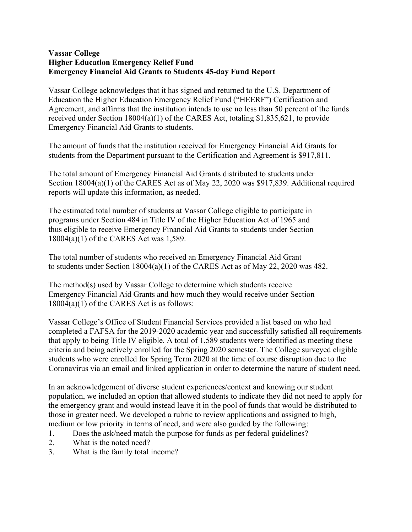## **Vassar College Higher Education Emergency Relief Fund Emergency Financial Aid Grants to Students 45-day Fund Report**

Vassar College acknowledges that it has signed and returned to the U.S. Department of Education the Higher Education Emergency Relief Fund ("HEERF") Certification and Agreement, and affirms that the institution intends to use no less than 50 percent of the funds received under Section 18004(a)(1) of the CARES Act, totaling \$1,835,621, to provide Emergency Financial Aid Grants to students.

The amount of funds that the institution received for Emergency Financial Aid Grants for students from the Department pursuant to the Certification and Agreement is \$917,811.

The total amount of Emergency Financial Aid Grants distributed to students under Section 18004(a)(1) of the CARES Act as of May 22, 2020 was \$917,839. Additional required reports will update this information, as needed.

The estimated total number of students at Vassar College eligible to participate in programs under Section 484 in Title IV of the Higher Education Act of 1965 and thus eligible to receive Emergency Financial Aid Grants to students under Section 18004(a)(1) of the CARES Act was 1,589.

The total number of students who received an Emergency Financial Aid Grant to students under Section 18004(a)(1) of the CARES Act as of May 22, 2020 was 482.

The method(s) used by Vassar College to determine which students receive Emergency Financial Aid Grants and how much they would receive under Section 18004(a)(1) of the CARES Act is as follows:

Vassar College's Office of Student Financial Services provided a list based on who had completed a FAFSA for the 2019-2020 academic year and successfully satisfied all requirements that apply to being Title IV eligible. A total of 1,589 students were identified as meeting these criteria and being actively enrolled for the Spring 2020 semester. The College surveyed eligible students who were enrolled for Spring Term 2020 at the time of course disruption due to the Coronavirus via an email and linked application in order to determine the nature of student need.

In an acknowledgement of diverse student experiences/context and knowing our student population, we included an option that allowed students to indicate they did not need to apply for the emergency grant and would instead leave it in the pool of funds that would be distributed to those in greater need. We developed a rubric to review applications and assigned to high, medium or low priority in terms of need, and were also guided by the following:

- 1. Does the ask/need match the purpose for funds as per federal guidelines?
- 2. What is the noted need?
- 3. What is the family total income?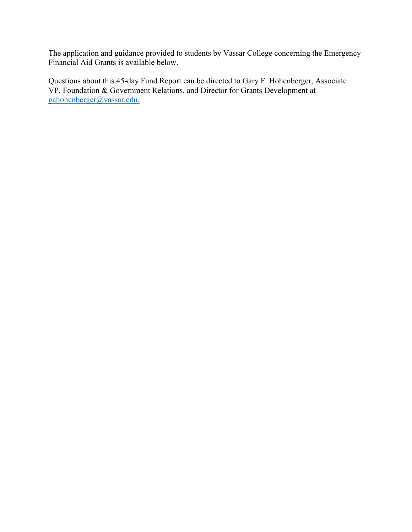The application and guidance provided to students by Vassar College concerning the Emergency Financial Aid Grants is available below.

Questions about this 45-day Fund Report can be directed to Gary F. Hohenberger, Associate VP, Foundation & Government Relations, and Director for Grants Development at [gahohenberger@vassar.edu.](mailto:gahohenberger@vassar.edu)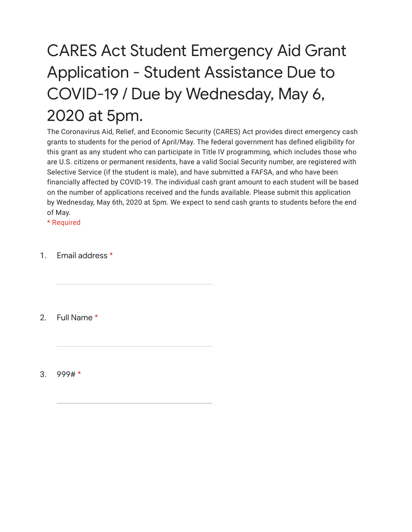## CARES Act Student Emergency Aid Grant Application - Student Assistance Due to COVID-19 / Due by Wednesday, May 6, 2020 at 5pm.

The Coronavirus Aid, Relief, and Economic Security (CARES) Act provides direct emergency cash grants to students for the period of April/May. The federal government has defined eligibility for this grant as any student who can participate in Title IV programming, which includes those who are U.S. citizens or permanent residents, have a valid Social Security number, are registered with Selective Service (if the student is male), and have submitted a FAFSA, and who have been financially affected by COVID-19. The individual cash grant amount to each student will be based on the number of applications received and the funds available. Please submit this application by Wednesday, May 6th, 2020 at 5pm. We expect to send cash grants to students before the end of May.

\* Required

1. Email address \*

2. Full Name \*

3. 999# \*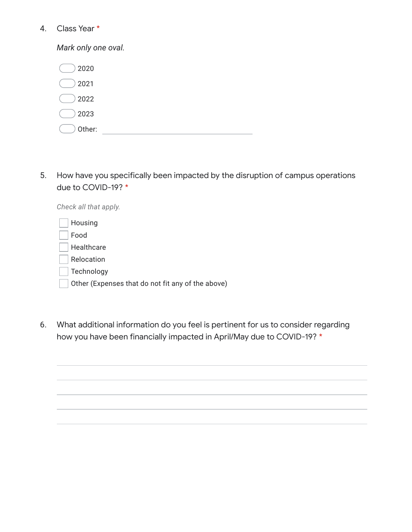## 4. Class Year \*

*Mark only one oval.*

| 2020   |  |  |
|--------|--|--|
| 2021   |  |  |
| 2022   |  |  |
| 2023   |  |  |
| Other: |  |  |

5. How have you specifically been impacted by the disruption of campus operations due to COVID-19? \*

| Check all that apply.                             |
|---------------------------------------------------|
| Housing                                           |
| Food                                              |
| Healthcare                                        |
| Relocation                                        |
| Technology                                        |
| Other (Expenses that do not fit any of the above) |
|                                                   |

6. What additional information do you feel is pertinent for us to consider regarding how you have been financially impacted in April/May due to COVID-19? \*